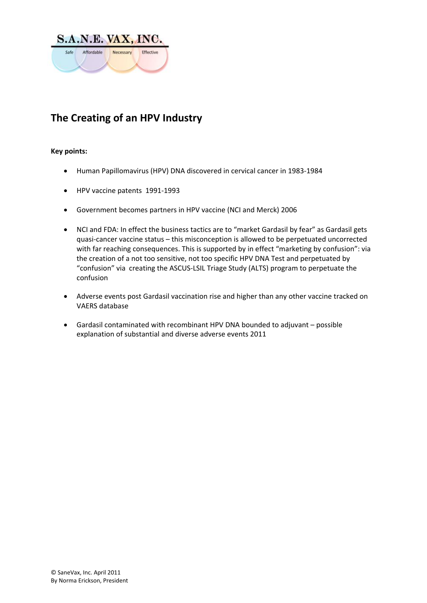

# **The Creating of an HPV Industry**

### **Key points:**

- Human Papillomavirus (HPV) DNA discovered in cervical cancer in 1983‐1984
- HPV vaccine patents 1991‐1993
- Government becomes partners in HPV vaccine (NCI and Merck) 2006
- NCI and FDA: In effect the business tactics are to "market Gardasil by fear" as Gardasil gets quasi‐cancer vaccine status – this misconception is allowed to be perpetuated uncorrected with far reaching consequences. This is supported by in effect "marketing by confusion": via the creation of a not too sensitive, not too specific HPV DNA Test and perpetuated by "confusion" via creating the ASCUS‐LSIL Triage Study (ALTS) program to perpetuate the confusion
- Adverse events post Gardasil vaccination rise and higher than any other vaccine tracked on VAERS database
- Gardasil contaminated with recombinant HPV DNA bounded to adjuvant possible explanation of substantial and diverse adverse events 2011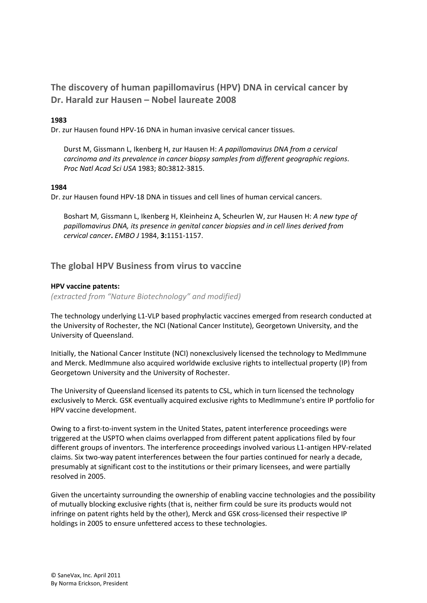# **The discovery of human papillomavirus (HPV) DNA in cervical cancer by Dr. Harald zur Hausen – Nobel laureate 2008**

## **1983**

Dr. zur Hausen found HPV‐16 DNA in human invasive cervical cancer tissues.

Durst M, Gissmann L, Ikenberg H, zur Hausen H: *A papillomavirus DNA from a cervical carcinoma and its prevalence in cancer biopsy samples from different geographic regions*. *Proc Natl Acad Sci USA* 1983; 80**:**3812‐3815.

### **1984**

Dr. zur Hausen found HPV‐18 DNA in tissues and cell lines of human cervical cancers.

Boshart M, Gissmann L, Ikenberg H, Kleinheinz A, Scheurlen W, zur Hausen H: *A new type of papillomavirus DNA, its presence in genital cancer biopsies and in cell lines derived from cervical cancer***.** *EMBO J* 1984, **3:**1151‐1157.

# **The global HPV Business from virus to vaccine**

### **HPV vaccine patents:**

*(extracted from "Nature Biotechnology" and modified)* 

The technology underlying L1‐VLP based prophylactic vaccines emerged from research conducted at the University of Rochester, the NCI (National Cancer Institute), Georgetown University, and the University of Queensland.

Initially, the National Cancer Institute (NCI) nonexclusively licensed the technology to MedImmune and Merck. MedImmune also acquired worldwide exclusive rights to intellectual property (IP) from Georgetown University and the University of Rochester.

The University of Queensland licensed its patents to CSL, which in turn licensed the technology exclusively to Merck. GSK eventually acquired exclusive rights to MedImmune's entire IP portfolio for HPV vaccine development.

Owing to a first-to-invent system in the United States, patent interference proceedings were triggered at the USPTO when claims overlapped from different patent applications filed by four different groups of inventors. The interference proceedings involved various L1‐antigen HPV‐related claims. Six two‐way patent interferences between the four parties continued for nearly a decade, presumably at significant cost to the institutions or their primary licensees, and were partially resolved in 2005.

Given the uncertainty surrounding the ownership of enabling vaccine technologies and the possibility of mutually blocking exclusive rights (that is, neither firm could be sure its products would not infringe on patent rights held by the other), Merck and GSK cross-licensed their respective IP holdings in 2005 to ensure unfettered access to these technologies.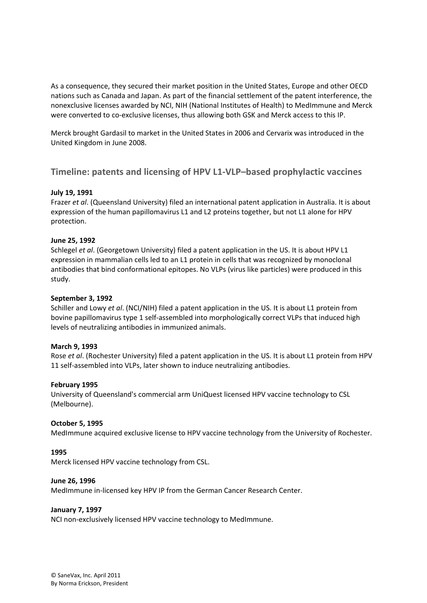As a consequence, they secured their market position in the United States, Europe and other OECD nations such as Canada and Japan. As part of the financial settlement of the patent interference, the nonexclusive licenses awarded by NCI, NIH (National Institutes of Health) to MedImmune and Merck were converted to co-exclusive licenses, thus allowing both GSK and Merck access to this IP.

Merck brought Gardasil to market in the United States in 2006 and Cervarix was introduced in the United Kingdom in June 2008.

# **Timeline: patents and licensing of HPV L1‐VLP–based prophylactic vaccines**

### **July 19, 1991**

Frazer *et al*. (Queensland University) filed an international patent application in Australia. It is about expression of the human papillomavirus L1 and L2 proteins together, but not L1 alone for HPV protection.

### **June 25, 1992**

Schlegel *et al*. (Georgetown University) filed a patent application in the US. It is about HPV L1 expression in mammalian cells led to an L1 protein in cells that was recognized by monoclonal antibodies that bind conformational epitopes. No VLPs (virus like particles) were produced in this study.

### **September 3, 1992**

Schiller and Lowy *et al*. (NCI/NIH) filed a patent application in the US. It is about L1 protein from bovine papillomavirus type 1 self‐assembled into morphologically correct VLPs that induced high levels of neutralizing antibodies in immunized animals.

### **March 9, 1993**

Rose *et al*. (Rochester University) filed a patent application in the US. It is about L1 protein from HPV 11 self-assembled into VLPs, later shown to induce neutralizing antibodies.

### **February 1995**

University of Queensland's commercial arm UniQuest licensed HPV vaccine technology to CSL (Melbourne).

### **October 5, 1995**

MedImmune acquired exclusive license to HPV vaccine technology from the University of Rochester.

### **1995**

Merck licensed HPV vaccine technology from CSL.

### **June 26, 1996**

MedImmune in‐licensed key HPV IP from the German Cancer Research Center.

### **January 7, 1997**

NCI non‐exclusively licensed HPV vaccine technology to MedImmune.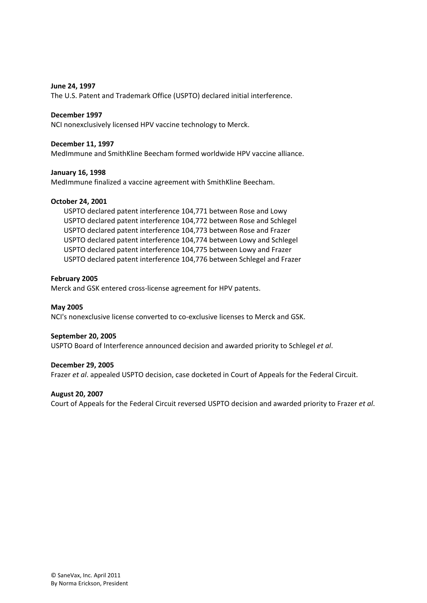#### **June 24, 1997**

The U.S. Patent and Trademark Office (USPTO) declared initial interference.

#### **December 1997**

NCI nonexclusively licensed HPV vaccine technology to Merck.

#### **December 11, 1997**

MedImmune and SmithKline Beecham formed worldwide HPV vaccine alliance.

#### **January 16, 1998**

MedImmune finalized a vaccine agreement with SmithKline Beecham.

#### **October 24, 2001**

USPTO declared patent interference 104,771 between Rose and Lowy USPTO declared patent interference 104,772 between Rose and Schlegel USPTO declared patent interference 104,773 between Rose and Frazer USPTO declared patent interference 104,774 between Lowy and Schlegel USPTO declared patent interference 104,775 between Lowy and Frazer USPTO declared patent interference 104,776 between Schlegel and Frazer

#### **February 2005**

Merck and GSK entered cross‐license agreement for HPV patents.

**May 2005**  NCI's nonexclusive license converted to co‐exclusive licenses to Merck and GSK.

#### **September 20, 2005**

USPTO Board of Interference announced decision and awarded priority to Schlegel *et al*.

#### **December 29, 2005**

Frazer *et al*. appealed USPTO decision, case docketed in Court of Appeals for the Federal Circuit.

#### **August 20, 2007**

Court of Appeals for the Federal Circuit reversed USPTO decision and awarded priority to Frazer *et al*.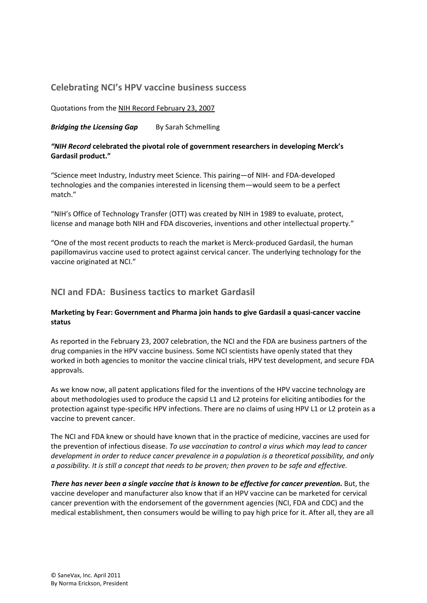# **Celebrating NCI's HPV vaccine business success**

Quotations from the NIH Record February 23, 2007

*Bridging the Licensing Gap* By Sarah Schmelling

### *"NIH Record* **celebrated the pivotal role of government researchers in developing Merck's Gardasil product."**

"Science meet Industry, Industry meet Science. This pairing—of NIH‐ and FDA‐developed technologies and the companies interested in licensing them—would seem to be a perfect match."

"NIH's Office of Technology Transfer (OTT) was created by NIH in 1989 to evaluate, protect, license and manage both NIH and FDA discoveries, inventions and other intellectual property."

"One of the most recent products to reach the market is Merck‐produced Gardasil, the human papillomavirus vaccine used to protect against cervical cancer. The underlying technology for the vaccine originated at NCI."

# **NCI and FDA: Business tactics to market Gardasil**

### **Marketing by Fear: Government and Pharma join hands to give Gardasil a quasi‐cancer vaccine status**

As reported in the February 23, 2007 celebration, the NCI and the FDA are business partners of the drug companies in the HPV vaccine business. Some NCI scientists have openly stated that they worked in both agencies to monitor the vaccine clinical trials, HPV test development, and secure FDA approvals.

As we know now, all patent applications filed for the inventions of the HPV vaccine technology are about methodologies used to produce the capsid L1 and L2 proteins for eliciting antibodies for the protection against type‐specific HPV infections. There are no claims of using HPV L1 or L2 protein as a vaccine to prevent cancer.

The NCI and FDA knew or should have known that in the practice of medicine, vaccines are used for the prevention of infectious disease. *To use vaccination to control a virus which may lead to cancer development in order to reduce cancer prevalence in a population is a theoretical possibility, and only* a possibility. It is still a concept that needs to be proven; then proven to be safe and effective.

*There has never been a single vaccine that is known to be effective for cancer prevention.* But, the vaccine developer and manufacturer also know that if an HPV vaccine can be marketed for cervical cancer prevention with the endorsement of the government agencies (NCI, FDA and CDC) and the medical establishment, then consumers would be willing to pay high price for it. After all, they are all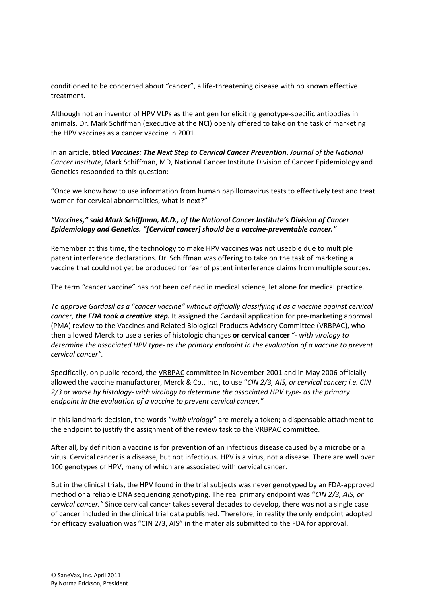conditioned to be concerned about "cancer", a life-threatening disease with no known effective treatment.

Although not an inventor of HPV VLPs as the antigen for eliciting genotype‐specific antibodies in animals, Dr. Mark Schiffman (executive at the NCI) openly offered to take on the task of marketing the HPV vaccines as a cancer vaccine in 2001.

In an article, titled *Vaccines: The Next Step to Cervical Cancer Prevention*, *Journal of the National Cancer Institute*, Mark Schiffman, MD, National Cancer Institute Division of Cancer Epidemiology and Genetics responded to this question:

"Once we know how to use information from human papillomavirus tests to effectively test and treat women for cervical abnormalities, what is next?"

### *"Vaccines," said Mark Schiffman, M.D., of the National Cancer Institute's Division of Cancer Epidemiology and Genetics. "[Cervical cancer] should be a vaccine‐preventable cancer."*

Remember at this time, the technology to make HPV vaccines was not useable due to multiple patent interference declarations. Dr. Schiffman was offering to take on the task of marketing a vaccine that could not yet be produced for fear of patent interference claims from multiple sources.

The term "cancer vaccine" has not been defined in medical science, let alone for medical practice.

*To approve Gardasil as a "cancer vaccine" without officially classifying it as a vaccine against cervical cancer, the FDA took a creative step.* It assigned the Gardasil application for pre‐marketing approval (PMA) review to the Vaccines and Related Biological Products Advisory Committee (VRBPAC), who then allowed Merck to use a series of histologic changes **or cervical cancer** "*‐ with virology to* determine the associated HPV type- as the primary endpoint in the evaluation of a vaccine to prevent *cervical cancer".* 

Specifically, on public record, the VRBPAC committee in November 2001 and in May 2006 officially allowed the vaccine manufacturer, Merck & Co., Inc., to use "*CIN 2/3, AIS, or cervical cancer; i.e. CIN 2/3 or worse by histology‐ with virology to determine the associated HPV type‐ as the primary endpoint in the evaluation of a vaccine to prevent cervical cancer."*

In this landmark decision, the words "*with virology*" are merely a token; a dispensable attachment to the endpoint to justify the assignment of the review task to the VRBPAC committee.

After all, by definition a vaccine is for prevention of an infectious disease caused by a microbe or a virus. Cervical cancer is a disease, but not infectious. HPV is a virus, not a disease. There are well over 100 genotypes of HPV, many of which are associated with cervical cancer.

But in the clinical trials, the HPV found in the trial subjects was never genotyped by an FDA‐approved method or a reliable DNA sequencing genotyping. The real primary endpoint was "*CIN 2/3, AIS, or cervical cancer."* Since cervical cancer takes several decades to develop, there was not a single case of cancer included in the clinical trial data published. Therefore, in reality the only endpoint adopted for efficacy evaluation was "CIN 2/3, AIS" in the materials submitted to the FDA for approval.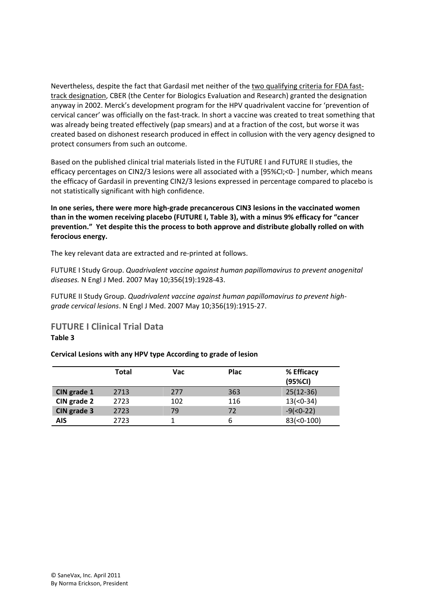Nevertheless, despite the fact that Gardasil met neither of the two qualifying criteria for FDA fast‐ track designation, CBER (the Center for Biologics Evaluation and Research) granted the designation anyway in 2002. Merck's development program for the HPV quadrivalent vaccine for 'prevention of cervical cancer' was officially on the fast‐track. In short a vaccine was created to treat something that was already being treated effectively (pap smears) and at a fraction of the cost, but worse it was created based on dishonest research produced in effect in collusion with the very agency designed to protect consumers from such an outcome.

Based on the published clinical trial materials listed in the FUTURE I and FUTURE II studies, the efficacy percentages on CIN2/3 lesions were all associated with a [95%CI;<0‐ ] number, which means the efficacy of Gardasil in preventing CIN2/3 lesions expressed in percentage compared to placebo is not statistically significant with high confidence.

**In one series, there were more high‐grade precancerous CIN3 lesions in the vaccinated women than in the women receiving placebo (FUTURE I, Table 3), with a minus 9% efficacy for "cancer prevention." Yet despite this the process to both approve and distribute globally rolled on with ferocious energy.**

The key relevant data are extracted and re‐printed at follows.

FUTURE I Study Group. *Quadrivalent vaccine against human papillomavirus to prevent anogenital diseases.* N Engl J Med. 2007 May 10;356(19):1928‐43.

FUTURE II Study Group. *Quadrivalent vaccine against human papillomavirus to prevent high‐ grade cervical lesions*. N Engl J Med. 2007 May 10;356(19):1915‐27.

**FUTURE I Clinical Trial Data Table 3**

### **Cervical Lesions with any HPV type According to grade of lesion**

|             | <b>Total</b> | <b>Vac</b> | <b>Plac</b> | % Efficacy<br>(95%CI) |
|-------------|--------------|------------|-------------|-----------------------|
| CIN grade 1 | 2713         | 277        | 363         | $25(12-36)$           |
| CIN grade 2 | 2723         | 102        | 116         | $13(-0-34)$           |
| CIN grade 3 | 2723         | 79         | 72          | $-9(0-22)$            |
| <b>AIS</b>  | 2723         |            | b           | $83(0-100)$           |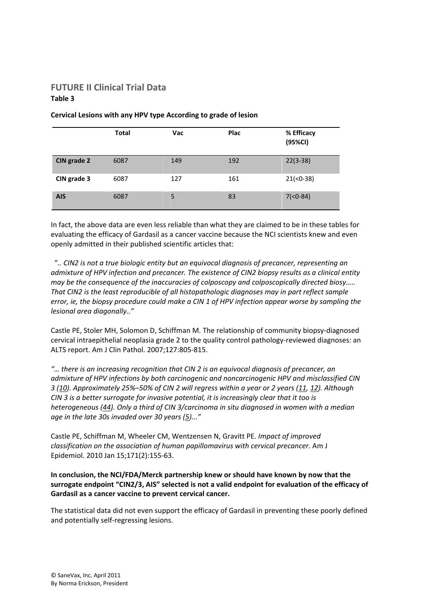# **FUTURE II Clinical Trial Data Table 3**

|             | <b>Total</b> | Vac | <b>Plac</b> | % Efficacy<br>(95%CI) |
|-------------|--------------|-----|-------------|-----------------------|
| CIN grade 2 | 6087         | 149 | 192         | $22(3-38)$            |
| CIN grade 3 | 6087         | 127 | 161         | $21(-0-38)$           |
| <b>AIS</b>  | 6087         | 5   | 83          | $7(0-84)$             |

#### **Cervical Lesions with any HPV type According to grade of lesion**

In fact, the above data are even less reliable than what they are claimed to be in these tables for evaluating the efficacy of Gardasil as a cancer vaccine because the NCI scientists knew and even openly admitted in their published scientific articles that:

 "*.. CIN2 is not a true biologic entity but an equivocal diagnosis of precancer, representing an admixture of HPV infection and precancer. The existence of CIN2 biopsy results as a clinical entity may be the consequence of the inaccuracies of colposcopy and colposcopically directed biosy….. That CIN2 is the least reproducible of all histopathologic diagnoses may in part reflect sample error, ie, the biopsy procedure could make a CIN 1 of HPV infection appear worse by sampling the lesional area diagonally.."*

Castle PE, Stoler MH, Solomon D, Schiffman M. The relationship of community biopsy-diagnosed cervical intraepithelial neoplasia grade 2 to the quality control pathology‐reviewed diagnoses: an ALTS report. Am J Clin Pathol. 2007;127:805‐815.

*"… there is an increasing recognition that CIN 2 is an equivocal diagnosis of precancer, an admixture of HPV infections by both carcinogenic and noncarcinogenic HPV and misclassified CIN 3 (10). Approximately 25%–50% of CIN 2 will regress within a year or 2 years (11, 12). Although CIN 3 is a better surrogate for invasive potential, it is increasingly clear that it too is heterogeneous (44). Only a third of CIN 3/carcinoma in situ diagnosed in women with a median age in the late 30s invaded over 30 years (5)..."*

Castle PE, Schiffman M, Wheeler CM, Wentzensen N, Gravitt PE. *Impact of improved classification on the association of human papillomavirus with cervical precancer*. Am J Epidemiol. 2010 Jan 15;171(2):155‐63.

### **In conclusion, the NCI/FDA/Merck partnership knew or should have known by now that the surrogate endpoint "CIN2/3, AIS" selected is not a valid endpoint for evaluation of the efficacy of Gardasil as a cancer vaccine to prevent cervical cancer.**

The statistical data did not even support the efficacy of Gardasil in preventing these poorly defined and potentially self‐regressing lesions.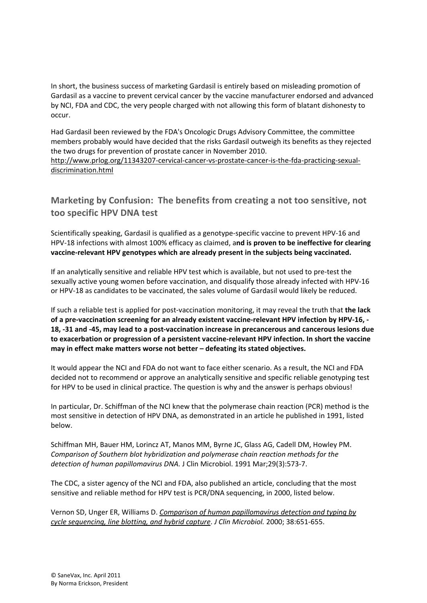In short, the business success of marketing Gardasil is entirely based on misleading promotion of Gardasil as a vaccine to prevent cervical cancer by the vaccine manufacturer endorsed and advanced by NCI, FDA and CDC, the very people charged with not allowing this form of blatant dishonesty to occur.

Had Gardasil been reviewed by the FDA's Oncologic Drugs Advisory Committee, the committee members probably would have decided that the risks Gardasil outweigh its benefits as they rejected the two drugs for prevention of prostate cancer in November 2010.

http://www.prlog.org/11343207‐cervical‐cancer‐vs‐prostate‐cancer‐is‐the‐fda‐practicing‐sexual‐ discrimination.html

# **Marketing by Confusion: The benefits from creating a not too sensitive, not too specific HPV DNA test**

Scientifically speaking, Gardasil is qualified as a genotype‐specific vaccine to prevent HPV‐16 and HPV‐18 infections with almost 100% efficacy as claimed, a**nd is proven to be ineffective for clearing vaccine‐relevant HPV genotypes which are already present in the subjects being vaccinated.**

If an analytically sensitive and reliable HPV test which is available, but not used to pre‐test the sexually active young women before vaccination, and disqualify those already infected with HPV‐16 or HPV‐18 as candidates to be vaccinated, the sales volume of Gardasil would likely be reduced.

If such a reliable test is applied for post‐vaccination monitoring, it may reveal the truth that **the lack** of a pre-vaccination screening for an already existent vaccine-relevant HPV infection by HPV-16, -18, -31 and -45, may lead to a post-vaccination increase in precancerous and cancerous lesions due **to exacerbation or progression of a persistent vaccine‐relevant HPV infection. In short the vaccine may in effect make matters worse not better – defeating its stated objectives.**

It would appear the NCI and FDA do not want to face either scenario. As a result, the NCI and FDA decided not to recommend or approve an analytically sensitive and specific reliable genotyping test for HPV to be used in clinical practice. The question is why and the answer is perhaps obvious!

In particular, Dr. Schiffman of the NCI knew that the polymerase chain reaction (PCR) method is the most sensitive in detection of HPV DNA, as demonstrated in an article he published in 1991, listed below.

Schiffman MH, Bauer HM, Lorincz AT, Manos MM, Byrne JC, Glass AG, Cadell DM, Howley PM. *Comparison of Southern blot hybridization and polymerase chain reaction methods for the detection of human papillomavirus DNA.* J Clin Microbiol. 1991 Mar;29(3):573‐7.

The CDC, a sister agency of the NCI and FDA, also published an article, concluding that the most sensitive and reliable method for HPV test is PCR/DNA sequencing, in 2000, listed below.

Vernon SD, Unger ER, Williams D. *Comparison of human papillomavirus detection and typing by cycle sequencing, line blotting, and hybrid capture*. *J Clin Microbiol.* 2000; 38:651‐655.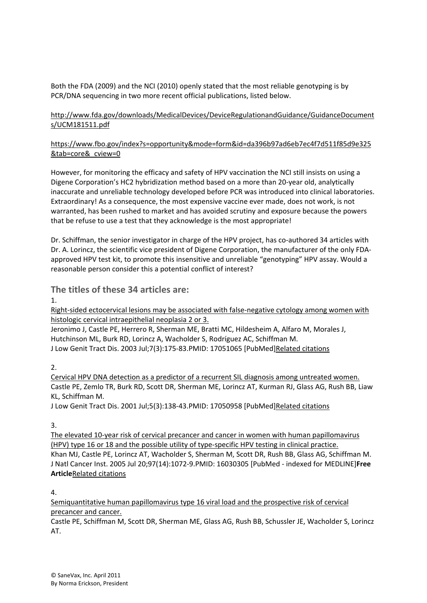Both the FDA (2009) and the NCI (2010) openly stated that the most reliable genotyping is by PCR/DNA sequencing in two more recent official publications, listed below.

## http://www.fda.gov/downloads/MedicalDevices/DeviceRegulationandGuidance/GuidanceDocument s/UCM181511.pdf

# https://www.fbo.gov/index?s=opportunity&mode=form&id=da396b97ad6eb7ec4f7d511f85d9e325 &tab=core& cview=0

However, for monitoring the efficacy and safety of HPV vaccination the NCI still insists on using a Digene Corporation's HC2 hybridization method based on a more than 20‐year old, analytically inaccurate and unreliable technology developed before PCR was introduced into clinical laboratories. Extraordinary! As a consequence, the most expensive vaccine ever made, does not work, is not warranted, has been rushed to market and has avoided scrutiny and exposure because the powers that be refuse to use a test that they acknowledge is the most appropriate!

Dr. Schiffman, the senior investigator in charge of the HPV project, has co-authored 34 articles with Dr. A. Lorincz, the scientific vice president of Digene Corporation, the manufacturer of the only FDA‐ approved HPV test kit, to promote this insensitive and unreliable "genotyping" HPV assay. Would a reasonable person consider this a potential conflict of interest?

**The titles of these 34 articles are:** 

1.

Right-sided ectocervical lesions may be associated with false-negative cytology among women with histologic cervical intraepithelial neoplasia 2 or 3.

Jeronimo J, Castle PE, Herrero R, Sherman ME, Bratti MC, Hildesheim A, Alfaro M, Morales J, Hutchinson ML, Burk RD, Lorincz A, Wacholder S, Rodríguez AC, Schiffman M. J Low Genit Tract Dis. 2003 Jul;7(3):175‐83.PMID: 17051065 [PubMed]Related citations

2.

Cervical HPV DNA detection as a predictor of a recurrent SIL diagnosis among untreated women. Castle PE, Zemlo TR, Burk RD, Scott DR, Sherman ME, Lorincz AT, Kurman RJ, Glass AG, Rush BB, Liaw KL, Schiffman M.

J Low Genit Tract Dis. 2001 Jul;5(3):138‐43.PMID: 17050958 [PubMed]Related citations

3.

The elevated 10‐year risk of cervical precancer and cancer in women with human papillomavirus (HPV) type 16 or 18 and the possible utility of type-specific HPV testing in clinical practice. Khan MJ, Castle PE, Lorincz AT, Wacholder S, Sherman M, Scott DR, Rush BB, Glass AG, Schiffman M. J Natl Cancer Inst. 2005 Jul 20;97(14):1072‐9.PMID: 16030305 [PubMed ‐ indexed for MEDLINE]**Free Article**Related citations

 $\Lambda$ 

Semiquantitative human papillomavirus type 16 viral load and the prospective risk of cervical precancer and cancer.

Castle PE, Schiffman M, Scott DR, Sherman ME, Glass AG, Rush BB, Schussler JE, Wacholder S, Lorincz AT.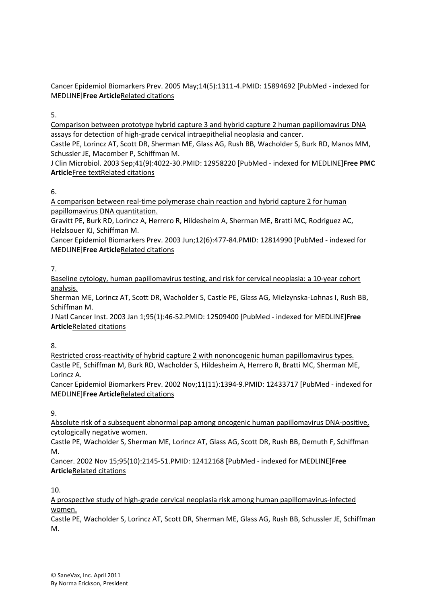Cancer Epidemiol Biomarkers Prev. 2005 May;14(5):1311‐4.PMID: 15894692 [PubMed ‐ indexed for MEDLINE]**Free Article**Related citations

5.

Comparison between prototype hybrid capture 3 and hybrid capture 2 human papillomavirus DNA assays for detection of high‐grade cervical intraepithelial neoplasia and cancer.

Castle PE, Lorincz AT, Scott DR, Sherman ME, Glass AG, Rush BB, Wacholder S, Burk RD, Manos MM, Schussler JE, Macomber P, Schiffman M.

J Clin Microbiol. 2003 Sep;41(9):4022‐30.PMID: 12958220 [PubMed ‐ indexed for MEDLINE]**Free PMC Article**Free textRelated citations

6.

A comparison between real‐time polymerase chain reaction and hybrid capture 2 for human papillomavirus DNA quantitation.

Gravitt PE, Burk RD, Lorincz A, Herrero R, Hildesheim A, Sherman ME, Bratti MC, Rodriguez AC, Helzlsouer KJ, Schiffman M.

Cancer Epidemiol Biomarkers Prev. 2003 Jun;12(6):477‐84.PMID: 12814990 [PubMed ‐ indexed for MEDLINE]**Free Article**Related citations

7.

Baseline cytology, human papillomavirus testing, and risk for cervical neoplasia: a 10‐year cohort analysis.

Sherman ME, Lorincz AT, Scott DR, Wacholder S, Castle PE, Glass AG, Mielzynska‐Lohnas I, Rush BB, Schiffman M.

J Natl Cancer Inst. 2003 Jan 1;95(1):46‐52.PMID: 12509400 [PubMed ‐ indexed for MEDLINE]**Free Article**Related citations

8.

Restricted cross-reactivity of hybrid capture 2 with nononcogenic human papillomavirus types. Castle PE, Schiffman M, Burk RD, Wacholder S, Hildesheim A, Herrero R, Bratti MC, Sherman ME, Lorincz A.

Cancer Epidemiol Biomarkers Prev. 2002 Nov;11(11):1394‐9.PMID: 12433717 [PubMed ‐ indexed for MEDLINE]**Free Article**Related citations

9.

Absolute risk of a subsequent abnormal pap among oncogenic human papillomavirus DNA‐positive, cytologically negative women.

Castle PE, Wacholder S, Sherman ME, Lorincz AT, Glass AG, Scott DR, Rush BB, Demuth F, Schiffman M.

Cancer. 2002 Nov 15;95(10):2145‐51.PMID: 12412168 [PubMed ‐ indexed for MEDLINE]**Free Article**Related citations

10.

A prospective study of high‐grade cervical neoplasia risk among human papillomavirus‐infected women.

Castle PE, Wacholder S, Lorincz AT, Scott DR, Sherman ME, Glass AG, Rush BB, Schussler JE, Schiffman M.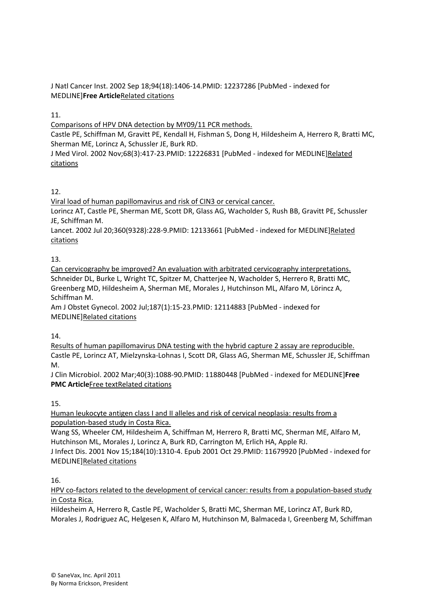J Natl Cancer Inst. 2002 Sep 18;94(18):1406‐14.PMID: 12237286 [PubMed ‐ indexed for MEDLINE]**Free Article**Related citations

# 11.

Comparisons of HPV DNA detection by MY09/11 PCR methods.

Castle PE, Schiffman M, Gravitt PE, Kendall H, Fishman S, Dong H, Hildesheim A, Herrero R, Bratti MC, Sherman ME, Lorincz A, Schussler JE, Burk RD.

J Med Virol. 2002 Nov;68(3):417‐23.PMID: 12226831 [PubMed ‐ indexed for MEDLINE]Related citations

# 12.

Viral load of human papillomavirus and risk of CIN3 or cervical cancer.

Lorincz AT, Castle PE, Sherman ME, Scott DR, Glass AG, Wacholder S, Rush BB, Gravitt PE, Schussler JE, Schiffman M.

Lancet. 2002 Jul 20;360(9328):228-9. PMID: 12133661 [PubMed - indexed for MEDLINE] Related citations

# 13.

Can cervicography be improved? An evaluation with arbitrated cervicography interpretations. Schneider DL, Burke L, Wright TC, Spitzer M, Chatterjee N, Wacholder S, Herrero R, Bratti MC, Greenberg MD, Hildesheim A, Sherman ME, Morales J, Hutchinson ML, Alfaro M, Lörincz A, Schiffman M.

Am J Obstet Gynecol. 2002 Jul;187(1):15‐23.PMID: 12114883 [PubMed ‐ indexed for MEDLINE]Related citations

# 14.

Results of human papillomavirus DNA testing with the hybrid capture 2 assay are reproducible. Castle PE, Lorincz AT, Mielzynska‐Lohnas I, Scott DR, Glass AG, Sherman ME, Schussler JE, Schiffman M.

J Clin Microbiol. 2002 Mar;40(3):1088‐90.PMID: 11880448 [PubMed ‐ indexed for MEDLINE]**Free PMC Article**Free textRelated citations

# 15.

Human leukocyte antigen class I and II alleles and risk of cervical neoplasia: results from a population‐based study in Costa Rica.

Wang SS, Wheeler CM, Hildesheim A, Schiffman M, Herrero R, Bratti MC, Sherman ME, Alfaro M, Hutchinson ML, Morales J, Lorincz A, Burk RD, Carrington M, Erlich HA, Apple RJ.

J Infect Dis. 2001 Nov 15;184(10):1310‐4. Epub 2001 Oct 29.PMID: 11679920 [PubMed ‐ indexed for MEDLINE]Related citations

## 16.

HPV co-factors related to the development of cervical cancer: results from a population-based study in Costa Rica.

Hildesheim A, Herrero R, Castle PE, Wacholder S, Bratti MC, Sherman ME, Lorincz AT, Burk RD, Morales J, Rodriguez AC, Helgesen K, Alfaro M, Hutchinson M, Balmaceda I, Greenberg M, Schiffman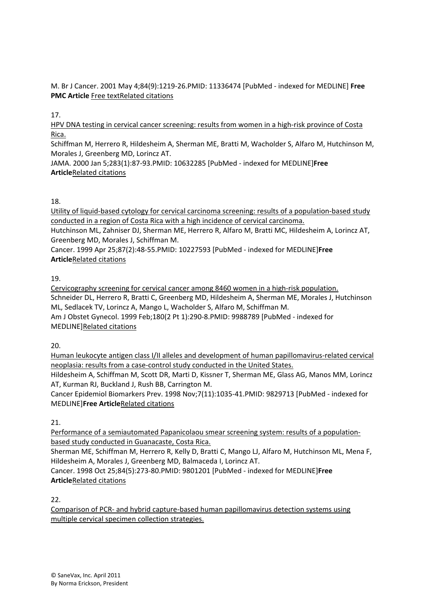M. Br J Cancer. 2001 May 4;84(9):1219‐26.PMID: 11336474 [PubMed ‐ indexed for MEDLINE] **Free PMC Article** Free textRelated citations

# 17.

HPV DNA testing in cervical cancer screening: results from women in a high-risk province of Costa Rica.

Schiffman M, Herrero R, Hildesheim A, Sherman ME, Bratti M, Wacholder S, Alfaro M, Hutchinson M, Morales J, Greenberg MD, Lorincz AT.

JAMA. 2000 Jan 5;283(1):87‐93.PMID: 10632285 [PubMed ‐ indexed for MEDLINE]**Free Article**Related citations

# 18.

Utility of liquid‐based cytology for cervical carcinoma screening: results of a population‐based study conducted in a region of Costa Rica with a high incidence of cervical carcinoma.

Hutchinson ML, Zahniser DJ, Sherman ME, Herrero R, Alfaro M, Bratti MC, Hildesheim A, Lorincz AT, Greenberg MD, Morales J, Schiffman M.

Cancer. 1999 Apr 25;87(2):48‐55.PMID: 10227593 [PubMed ‐ indexed for MEDLINE]**Free Article**Related citations

# 19.

Cervicography screening for cervical cancer among 8460 women in a high‐risk population. Schneider DL, Herrero R, Bratti C, Greenberg MD, Hildesheim A, Sherman ME, Morales J, Hutchinson ML, Sedlacek TV, Lorincz A, Mango L, Wacholder S, Alfaro M, Schiffman M. Am J Obstet Gynecol. 1999 Feb;180(2 Pt 1):290‐8.PMID: 9988789 [PubMed ‐ indexed for MEDLINE]Related citations

20.

Human leukocyte antigen class I/II alleles and development of human papillomavirus‐related cervical neoplasia: results from a case‐control study conducted in the United States.

Hildesheim A, Schiffman M, Scott DR, Marti D, Kissner T, Sherman ME, Glass AG, Manos MM, Lorincz AT, Kurman RJ, Buckland J, Rush BB, Carrington M.

Cancer Epidemiol Biomarkers Prev. 1998 Nov;7(11):1035‐41.PMID: 9829713 [PubMed ‐ indexed for MEDLINE]**Free Article**Related citations

## 21.

Performance of a semiautomated Papanicolaou smear screening system: results of a population‐ based study conducted in Guanacaste, Costa Rica.

Sherman ME, Schiffman M, Herrero R, Kelly D, Bratti C, Mango LJ, Alfaro M, Hutchinson ML, Mena F, Hildesheim A, Morales J, Greenberg MD, Balmaceda I, Lorincz AT.

Cancer. 1998 Oct 25;84(5):273‐80.PMID: 9801201 [PubMed ‐ indexed for MEDLINE]**Free Article**Related citations

 $22.$ 

Comparison of PCR‐ and hybrid capture‐based human papillomavirus detection systems using multiple cervical specimen collection strategies.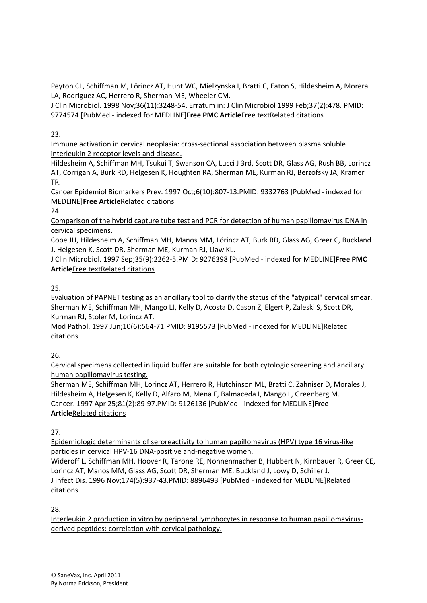Peyton CL, Schiffman M, Lörincz AT, Hunt WC, Mielzynska I, Bratti C, Eaton S, Hildesheim A, Morera LA, Rodriguez AC, Herrero R, Sherman ME, Wheeler CM.

J Clin Microbiol. 1998 Nov;36(11):3248‐54. Erratum in: J Clin Microbiol 1999 Feb;37(2):478. PMID: 9774574 [PubMed ‐ indexed for MEDLINE]**Free PMC Article**Free textRelated citations

23.

Immune activation in cervical neoplasia: cross‐sectional association between plasma soluble interleukin 2 receptor levels and disease.

Hildesheim A, Schiffman MH, Tsukui T, Swanson CA, Lucci J 3rd, Scott DR, Glass AG, Rush BB, Lorincz AT, Corrigan A, Burk RD, Helgesen K, Houghten RA, Sherman ME, Kurman RJ, Berzofsky JA, Kramer TR.

Cancer Epidemiol Biomarkers Prev. 1997 Oct;6(10):807‐13.PMID: 9332763 [PubMed ‐ indexed for MEDLINE]**Free Article**Related citations

 $24.$ 

Comparison of the hybrid capture tube test and PCR for detection of human papillomavirus DNA in cervical specimens.

Cope JU, Hildesheim A, Schiffman MH, Manos MM, Lörincz AT, Burk RD, Glass AG, Greer C, Buckland J, Helgesen K, Scott DR, Sherman ME, Kurman RJ, Liaw KL.

J Clin Microbiol. 1997 Sep;35(9):2262‐5.PMID: 9276398 [PubMed ‐ indexed for MEDLINE]**Free PMC Article**Free textRelated citations

25.

Evaluation of PAPNET testing as an ancillary tool to clarify the status of the "atypical" cervical smear. Sherman ME, Schiffman MH, Mango LJ, Kelly D, Acosta D, Cason Z, Elgert P, Zaleski S, Scott DR, Kurman RJ, Stoler M, Lorincz AT.

Mod Pathol. 1997 Jun;10(6):564‐71.PMID: 9195573 [PubMed ‐ indexed for MEDLINE]Related citations

26.

Cervical specimens collected in liquid buffer are suitable for both cytologic screening and ancillary human papillomavirus testing.

Sherman ME, Schiffman MH, Lorincz AT, Herrero R, Hutchinson ML, Bratti C, Zahniser D, Morales J, Hildesheim A, Helgesen K, Kelly D, Alfaro M, Mena F, Balmaceda I, Mango L, Greenberg M. Cancer. 1997 Apr 25;81(2):89‐97.PMID: 9126136 [PubMed ‐ indexed for MEDLINE]**Free Article**Related citations

27.

Epidemiologic determinants of seroreactivity to human papillomavirus (HPV) type 16 virus‐like particles in cervical HPV‐16 DNA‐positive and‐negative women.

Wideroff L, Schiffman MH, Hoover R, Tarone RE, Nonnenmacher B, Hubbert N, Kirnbauer R, Greer CE, Lorincz AT, Manos MM, Glass AG, Scott DR, Sherman ME, Buckland J, Lowy D, Schiller J. J Infect Dis. 1996 Nov;174(5):937‐43.PMID: 8896493 [PubMed ‐ indexed for MEDLINE]Related citations

28.

Interleukin 2 production in vitro by peripheral lymphocytes in response to human papillomavirus‐ derived peptides: correlation with cervical pathology.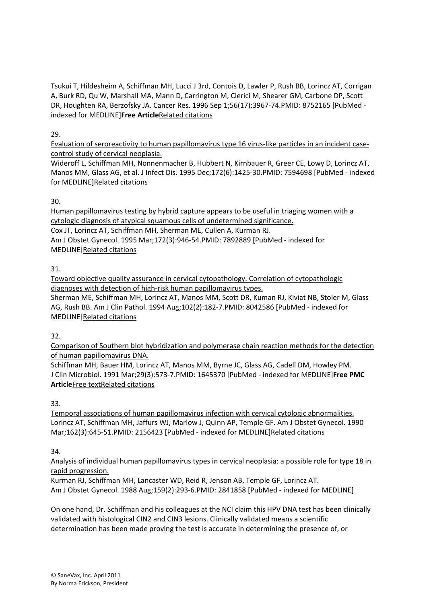Tsukui T, Hildesheim A, Schiffman MH, Lucci J 3rd, Contois D, Lawler P, Rush BB, Lorincz AT, Corrigan A, Burk RD, Qu W, Marshall MA, Mann D, Carrington M, Clerici M, Shearer GM, Carbone DP, Scott DR, Houghten RA, Berzofsky JA. Cancer Res. 1996 Sep 1;56(17):3967‐74.PMID: 8752165 [PubMed ‐ indexed for MEDLINE]**Free Article**Related citations

## 29.

Evaluation of seroreactivity to human papillomavirus type 16 virus‐like particles in an incident case‐ control study of cervical neoplasia.

Wideroff L, Schiffman MH, Nonnenmacher B, Hubbert N, Kirnbauer R, Greer CE, Lowy D, Lorincz AT, Manos MM, Glass AG, et al. J Infect Dis. 1995 Dec;172(6):1425‐30.PMID: 7594698 [PubMed ‐ indexed for MEDLINE]Related citations

# 30.

Human papillomavirus testing by hybrid capture appears to be useful in triaging women with a cytologic diagnosis of atypical squamous cells of undetermined significance. Cox JT, Lorincz AT, Schiffman MH, Sherman ME, Cullen A, Kurman RJ. Am J Obstet Gynecol. 1995 Mar;172(3):946‐54.PMID: 7892889 [PubMed ‐ indexed for MEDLINE]Related citations

# 31.

Toward objective quality assurance in cervical cytopathology. Correlation of cytopathologic diagnoses with detection of high‐risk human papillomavirus types. Sherman ME, Schiffman MH, Lorincz AT, Manos MM, Scott DR, Kuman RJ, Kiviat NB, Stoler M, Glass AG, Rush BB. Am J Clin Pathol. 1994 Aug;102(2):182‐7.PMID: 8042586 [PubMed ‐ indexed for MEDLINE]Related citations

32.

Comparison of Southern blot hybridization and polymerase chain reaction methods for the detection of human papillomavirus DNA.

Schiffman MH, Bauer HM, Lorincz AT, Manos MM, Byrne JC, Glass AG, Cadell DM, Howley PM. J Clin Microbiol. 1991 Mar;29(3):573‐7.PMID: 1645370 [PubMed ‐ indexed for MEDLINE]**Free PMC Article**Free textRelated citations

# 33.

Temporal associations of human papillomavirus infection with cervical cytologic abnormalities. Lorincz AT, Schiffman MH, Jaffurs WJ, Marlow J, Quinn AP, Temple GF. Am J Obstet Gynecol. 1990 Mar;162(3):645‐51.PMID: 2156423 [PubMed ‐ indexed for MEDLINE]Related citations

# 34.

Analysis of individual human papillomavirus types in cervical neoplasia: a possible role for type 18 in rapid progression.

Kurman RJ, Schiffman MH, Lancaster WD, Reid R, Jenson AB, Temple GF, Lorincz AT. Am J Obstet Gynecol. 1988 Aug;159(2):293‐6.PMID: 2841858 [PubMed ‐ indexed for MEDLINE]

On one hand, Dr. Schiffman and his colleagues at the NCI claim this HPV DNA test has been clinically validated with histological CIN2 and CIN3 lesions. Clinically validated means a scientific determination has been made proving the test is accurate in determining the presence of, or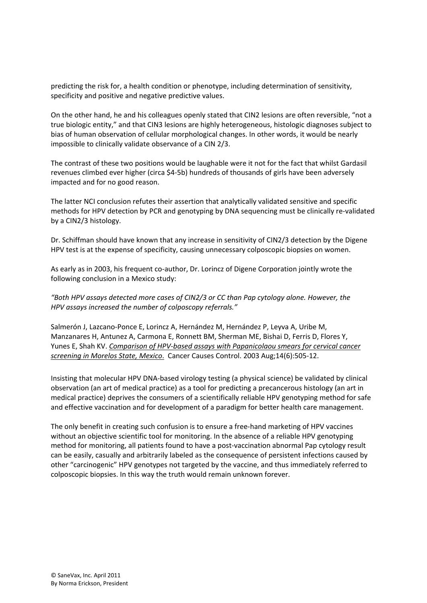predicting the risk for, a health condition or phenotype, including determination of sensitivity, specificity and positive and negative predictive values.

On the other hand, he and his colleagues openly stated that CIN2 lesions are often reversible, "not a true biologic entity," and that CIN3 lesions are highly heterogeneous, histologic diagnoses subject to bias of human observation of cellular morphological changes. In other words, it would be nearly impossible to clinically validate observance of a CIN 2/3.

The contrast of these two positions would be laughable were it not for the fact that whilst Gardasil revenues climbed ever higher (circa \$4‐5b) hundreds of thousands of girls have been adversely impacted and for no good reason.

The latter NCI conclusion refutes their assertion that analytically validated sensitive and specific methods for HPV detection by PCR and genotyping by DNA sequencing must be clinically re-validated by a CIN2/3 histology.

Dr. Schiffman should have known that any increase in sensitivity of CIN2/3 detection by the Digene HPV test is at the expense of specificity, causing unnecessary colposcopic biopsies on women.

As early as in 2003, his frequent co-author, Dr. Lorincz of Digene Corporation jointly wrote the following conclusion in a Mexico study:

*"Both HPV assays detected more cases of CIN2/3 or CC than Pap cytology alone. However, the HPV assays increased the number of colposcopy referrals."* 

Salmerón J, Lazcano‐Ponce E, Lorincz A, Hernández M, Hernández P, Leyva A, Uribe M, Manzanares H, Antunez A, Carmona E, Ronnett BM, Sherman ME, Bishai D, Ferris D, Flores Y, Yunes E, Shah KV. *Comparison of HPV‐based assays with Papanicolaou smears for cervical cancer screening in Morelos State, Mexico*. Cancer Causes Control. 2003 Aug;14(6):505‐12.

Insisting that molecular HPV DNA‐based virology testing (a physical science) be validated by clinical observation (an art of medical practice) as a tool for predicting a precancerous histology (an art in medical practice) deprives the consumers of a scientifically reliable HPV genotyping method for safe and effective vaccination and for development of a paradigm for better health care management.

The only benefit in creating such confusion is to ensure a free-hand marketing of HPV vaccines without an objective scientific tool for monitoring. In the absence of a reliable HPV genotyping method for monitoring, all patients found to have a post‐vaccination abnormal Pap cytology result can be easily, casually and arbitrarily labeled as the consequence of persistent infections caused by other "carcinogenic" HPV genotypes not targeted by the vaccine, and thus immediately referred to colposcopic biopsies. In this way the truth would remain unknown forever.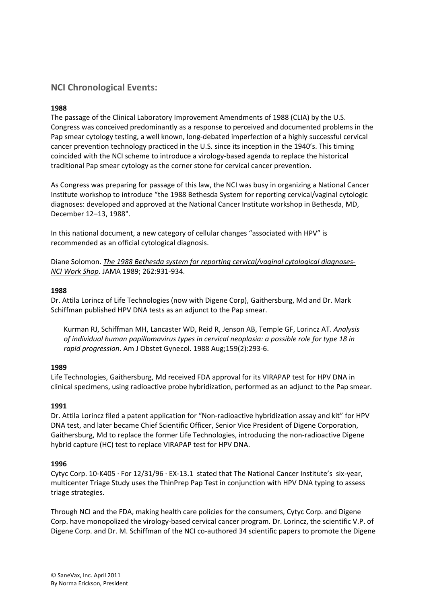# **NCI Chronological Events:**

### **1988**

The passage of the Clinical Laboratory Improvement Amendments of 1988 (CLIA) by the U.S. Congress was conceived predominantly as a response to perceived and documented problems in the Pap smear cytology testing, a well known, long‐debated imperfection of a highly successful cervical cancer prevention technology practiced in the U.S. since its inception in the 1940's. This timing coincided with the NCI scheme to introduce a virology‐based agenda to replace the historical traditional Pap smear cytology as the corner stone for cervical cancer prevention.

As Congress was preparing for passage of this law, the NCI was busy in organizing a National Cancer Institute workshop to introduce "the 1988 Bethesda System for reporting cervical/vaginal cytologic diagnoses: developed and approved at the National Cancer Institute workshop in Bethesda, MD, December 12–13, 1988".

In this national document, a new category of cellular changes "associated with HPV" is recommended as an official cytological diagnosis.

Diane Solomon. *The 1988 Bethesda system for reporting cervical/vaginal cytological diagnoses‐ NCI Work Shop*. JAMA 1989; 262:931‐934.

#### **1988**

Dr. Attila Lorincz of Life Technologies (now with Digene Corp), Gaithersburg, Md and Dr. Mark Schiffman published HPV DNA tests as an adjunct to the Pap smear.

Kurman RJ, Schiffman MH, Lancaster WD, Reid R, Jenson AB, Temple GF, Lorincz AT. *Analysis of individual human papillomavirus types in cervical neoplasia: a possible role for type 18 in rapid progression*. Am J Obstet Gynecol. 1988 Aug;159(2):293‐6.

### **1989**

Life Technologies, Gaithersburg, Md received FDA approval for its VIRAPAP test for HPV DNA in clinical specimens, using radioactive probe hybridization, performed as an adjunct to the Pap smear.

### **1991**

Dr. Attila Lorincz filed a patent application for "Non-radioactive hybridization assay and kit" for HPV DNA test, and later became Chief Scientific Officer, Senior Vice President of Digene Corporation, Gaithersburg, Md to replace the former Life Technologies, introducing the non‐radioactive Digene hybrid capture (HC) test to replace VIRAPAP test for HPV DNA.

### **1996**

Cytyc Corp. 10‐K405 ∙ For 12/31/96 ∙ EX‐13.1 stated that The National Cancer Institute's six‐year, multicenter Triage Study uses the ThinPrep Pap Test in conjunction with HPV DNA typing to assess triage strategies.

Through NCI and the FDA, making health care policies for the consumers, Cytyc Corp. and Digene Corp. have monopolized the virology‐based cervical cancer program. Dr. Lorincz, the scientific V.P. of Digene Corp. and Dr. M. Schiffman of the NCI co-authored 34 scientific papers to promote the Digene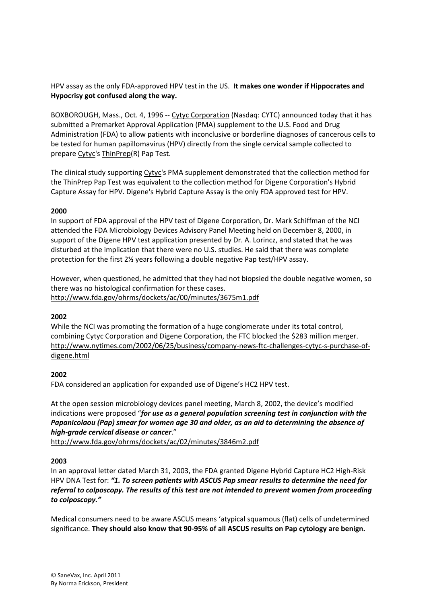HPV assay as the only FDA‐approved HPV test in the US. **It makes one wonder if Hippocrates and Hypocrisy got confused along the way.** 

BOXBOROUGH, Mass., Oct. 4, 1996 ‐‐ Cytyc Corporation (Nasdaq: CYTC) announced today that it has submitted a Premarket Approval Application (PMA) supplement to the U.S. Food and Drug Administration (FDA) to allow patients with inconclusive or borderline diagnoses of cancerous cells to be tested for human papillomavirus (HPV) directly from the single cervical sample collected to prepare Cytyc's ThinPrep(R) Pap Test.

The clinical study supporting Cytyc's PMA supplement demonstrated that the collection method for the ThinPrep Pap Test was equivalent to the collection method for Digene Corporation's Hybrid Capture Assay for HPV. Digene's Hybrid Capture Assay is the only FDA approved test for HPV.

### **2000**

In support of FDA approval of the HPV test of Digene Corporation, Dr. Mark Schiffman of the NCI attended the FDA Microbiology Devices Advisory Panel Meeting held on December 8, 2000, in support of the Digene HPV test application presented by Dr. A. Lorincz, and stated that he was disturbed at the implication that there were no U.S. studies. He said that there was complete protection for the first 2½ years following a double negative Pap test/HPV assay.

However, when questioned, he admitted that they had not biopsied the double negative women, so there was no histological confirmation for these cases. http://www.fda.gov/ohrms/dockets/ac/00/minutes/3675m1.pdf

### **2002**

While the NCI was promoting the formation of a huge conglomerate under its total control, combining Cytyc Corporation and Digene Corporation, the FTC blocked the \$283 million merger. http://www.nytimes.com/2002/06/25/business/company-news-ftc-challenges-cytyc-s-purchase-ofdigene.html

## **2002**

FDA considered an application for expanded use of Digene's HC2 HPV test.

At the open session microbiology devices panel meeting, March 8, 2002, the device's modified indications were proposed "*for use as a general population screening test in conjunction with the Papanicolaou (Pap) smear for women age 30 and older, as an aid to determining the absence of high‐grade cervical disease or cancer*."

http://www.fda.gov/ohrms/dockets/ac/02/minutes/3846m2.pdf

## **2003**

In an approval letter dated March 31, 2003, the FDA granted Digene Hybrid Capture HC2 High‐Risk HPV DNA Test for: *"1. To screen patients with ASCUS Pap smear results to determine the need for referral to colposcopy. The results of this test are not intended to prevent women from proceeding to colposcopy."*

Medical consumers need to be aware ASCUS means 'atypical squamous (flat) cells of undetermined significance. **They should also know that 90‐95% of all ASCUS results on Pap cytology are benign.**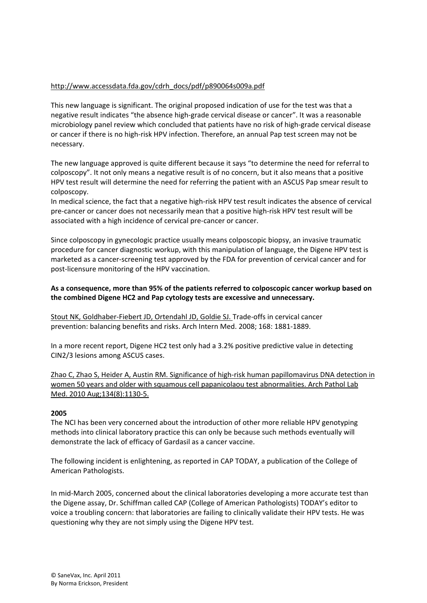# http://www.accessdata.fda.gov/cdrh\_docs/pdf/p890064s009a.pdf

This new language is significant. The original proposed indication of use for the test was that a negative result indicates "the absence high‐grade cervical disease or cancer". It was a reasonable microbiology panel review which concluded that patients have no risk of high‐grade cervical disease or cancer if there is no high‐risk HPV infection. Therefore, an annual Pap test screen may not be necessary.

The new language approved is quite different because it says "to determine the need for referral to colposcopy". It not only means a negative result is of no concern, but it also means that a positive HPV test result will determine the need for referring the patient with an ASCUS Pap smear result to colposcopy.

In medical science, the fact that a negative high-risk HPV test result indicates the absence of cervical pre‐cancer or cancer does not necessarily mean that a positive high‐risk HPV test result will be associated with a high incidence of cervical pre‐cancer or cancer.

Since colposcopy in gynecologic practice usually means colposcopic biopsy, an invasive traumatic procedure for cancer diagnostic workup, with this manipulation of language, the Digene HPV test is marketed as a cancer‐screening test approved by the FDA for prevention of cervical cancer and for post‐licensure monitoring of the HPV vaccination.

### **As a consequence, more than 95% of the patients referred to colposcopic cancer workup based on the combined Digene HC2 and Pap cytology tests are excessive and unnecessary.**

Stout NK, Goldhaber‐Fiebert JD, Ortendahl JD, Goldie SJ. Trade‐offs in cervical cancer prevention: balancing benefits and risks. Arch Intern Med. 2008; 168: 1881‐1889.

In a more recent report, Digene HC2 test only had a 3.2% positive predictive value in detecting CIN2/3 lesions among ASCUS cases.

Zhao C, Zhao S, Heider A, Austin RM. Significance of high-risk human papillomavirus DNA detection in women 50 years and older with squamous cell papanicolaou test abnormalities. Arch Pathol Lab Med. 2010 Aug;134(8):1130‐5.

### **2005**

The NCI has been very concerned about the introduction of other more reliable HPV genotyping methods into clinical laboratory practice this can only be because such methods eventually will demonstrate the lack of efficacy of Gardasil as a cancer vaccine.

The following incident is enlightening, as reported in CAP TODAY, a publication of the College of American Pathologists.

In mid-March 2005, concerned about the clinical laboratories developing a more accurate test than the Digene assay, Dr. Schiffman called CAP (College of American Pathologists) TODAY's editor to voice a troubling concern: that laboratories are failing to clinically validate their HPV tests. He was questioning why they are not simply using the Digene HPV test.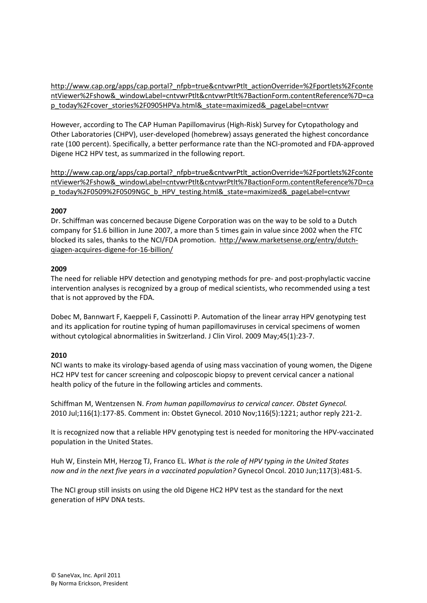http://www.cap.org/apps/cap.portal?\_nfpb=true&cntvwrPtlt\_actionOverride=%2Fportlets%2Fconte ntViewer%2Fshow&\_windowLabel=cntvwrPtlt&cntvwrPtlt%7BactionForm.contentReference%7D=ca p\_today%2Fcover\_stories%2F0905HPVa.html&\_state=maximized&\_pageLabel=cntvwr

However, according to The CAP Human Papillomavirus (High‐Risk) Survey for Cytopathology and Other Laboratories (CHPV), user‐developed (homebrew) assays generated the highest concordance rate (100 percent). Specifically, a better performance rate than the NCI-promoted and FDA-approved Digene HC2 HPV test, as summarized in the following report.

http://www.cap.org/apps/cap.portal? nfpb=true&cntvwrPtlt\_actionOverride=%2Fportlets%2Fconte ntViewer%2Fshow&\_windowLabel=cntvwrPtlt&cntvwrPtlt%7BactionForm.contentReference%7D=ca p\_today%2F0509%2F0509NGC\_b\_HPV\_testing.html&\_state=maximized&\_pageLabel=cntvwr

### **2007**

Dr. Schiffman was concerned because Digene Corporation was on the way to be sold to a Dutch company for \$1.6 billion in June 2007, a more than 5 times gain in value since 2002 when the FTC blocked its sales, thanks to the NCI/FDA promotion. http://www.marketsense.org/entry/dutch‐ qiagen‐acquires‐digene‐for‐16‐billion/

### **2009**

The need for reliable HPV detection and genotyping methods for pre- and post-prophylactic vaccine intervention analyses is recognized by a group of medical scientists, who recommended using a test that is not approved by the FDA.

Dobec M, Bannwart F, Kaeppeli F, Cassinotti P. Automation of the linear array HPV genotyping test and its application for routine typing of human papillomaviruses in cervical specimens of women without cytological abnormalities in Switzerland. J Clin Virol. 2009 May;45(1):23‐7.

### **2010**

NCI wants to make its virology‐based agenda of using mass vaccination of young women, the Digene HC2 HPV test for cancer screening and colposcopic biopsy to prevent cervical cancer a national health policy of the future in the following articles and comments.

Schiffman M, Wentzensen N. *From human papillomavirus to cervical cancer. Obstet Gynecol.* 2010 Jul;116(1):177‐85. Comment in: Obstet Gynecol. 2010 Nov;116(5):1221; author reply 221‐2.

It is recognized now that a reliable HPV genotyping test is needed for monitoring the HPV‐vaccinated population in the United States.

Huh W, Einstein MH, Herzog TJ, Franco EL. *What is the role of HPV typing in the United States now and in the next five years in a vaccinated population?* Gynecol Oncol. 2010 Jun;117(3):481‐5.

The NCI group still insists on using the old Digene HC2 HPV test as the standard for the next generation of HPV DNA tests.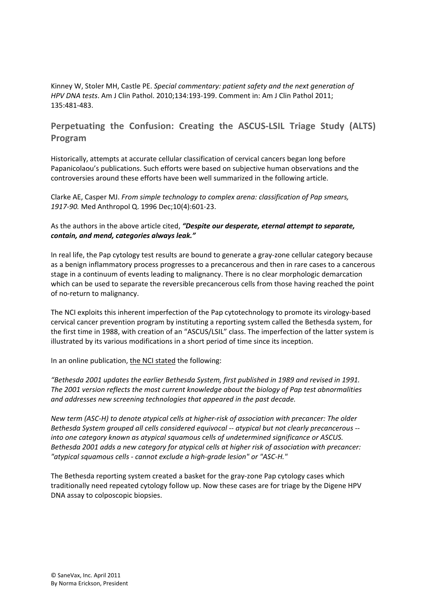Kinney W, Stoler MH, Castle PE. *Special commentary: patient safety and the next generation of HPV DNA tests*. Am J Clin Pathol. 2010;134:193‐199. Comment in: Am J Clin Pathol 2011; 135:481‐483.

# **Perpetuating the Confusion: Creating the ASCUS‐LSIL Triage Study (ALTS) Program**

Historically, attempts at accurate cellular classification of cervical cancers began long before Papanicolaou's publications. Such efforts were based on subjective human observations and the controversies around these efforts have been well summarized in the following article.

Clarke AE, Casper MJ. *From simple technology to complex arena: classification of Pap smears, 1917‐90.* Med Anthropol Q. 1996 Dec;10(4):601‐23.

### As the authors in the above article cited, *"Despite our desperate, eternal attempt to separate, contain, and mend, categories always leak."*

In real life, the Pap cytology test results are bound to generate a gray‐zone cellular category because as a benign inflammatory process progresses to a precancerous and then in rare cases to a cancerous stage in a continuum of events leading to malignancy. There is no clear morphologic demarcation which can be used to separate the reversible precancerous cells from those having reached the point of no‐return to malignancy.

The NCI exploits this inherent imperfection of the Pap cytotechnology to promote its virology-based cervical cancer prevention program by instituting a reporting system called the Bethesda system, for the first time in 1988, with creation of an "ASCUS/LSIL" class. The imperfection of the latter system is illustrated by its various modifications in a short period of time since its inception.

In an online publication, the NCI stated the following:

*"Bethesda 2001 updates the earlier Bethesda System, first published in 1989 and revised in 1991. The 2001 version reflects the most current knowledge about the biology of Pap test abnormalities and addresses new screening technologies that appeared in the past decade.*

New term (ASC-H) to denote atypical cells at higher-risk of association with precancer: The older *Bethesda System grouped all cells considered equivocal ‐‐ atypical but not clearly precancerous ‐‐ into one category known as atypical squamous cells of undetermined significance or ASCUS. Bethesda 2001 adds a new category for atypical cells at higher risk of association with precancer: "atypical squamous cells ‐ cannot exclude a high‐grade lesion" or "ASC‐H."*

The Bethesda reporting system created a basket for the gray‐zone Pap cytology cases which traditionally need repeated cytology follow up. Now these cases are for triage by the Digene HPV DNA assay to colposcopic biopsies.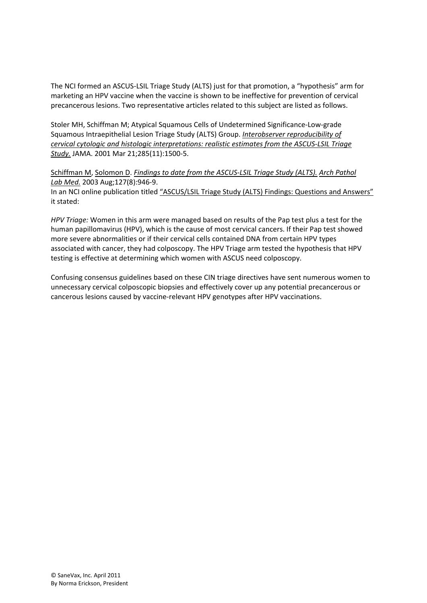The NCI formed an ASCUS‐LSIL Triage Study (ALTS) just for that promotion, a "hypothesis" arm for marketing an HPV vaccine when the vaccine is shown to be ineffective for prevention of cervical precancerous lesions. Two representative articles related to this subject are listed as follows.

Stoler MH, Schiffman M; Atypical Squamous Cells of Undetermined Significance‐Low‐grade Squamous Intraepithelial Lesion Triage Study (ALTS) Group. *Interobserver reproducibility of cervical cytologic and histologic interpretations: realistic estimates from the ASCUS‐LSIL Triage Study.* JAMA. 2001 Mar 21;285(11):1500‐5.

Schiffman M, Solomon D. *Findings to date from the ASCUS‐LSIL Triage Study (ALTS). Arch Pathol Lab Med.* 2003 Aug;127(8):946‐9. In an NCI online publication titled "ASCUS/LSIL Triage Study (ALTS) Findings: Questions and Answers" it stated:

*HPV Triage:* Women in this arm were managed based on results of the Pap test plus a test for the human papillomavirus (HPV), which is the cause of most cervical cancers. If their Pap test showed more severe abnormalities or if their cervical cells contained DNA from certain HPV types associated with cancer, they had colposcopy. The HPV Triage arm tested the hypothesis that HPV testing is effective at determining which women with ASCUS need colposcopy.

Confusing consensus guidelines based on these CIN triage directives have sent numerous women to unnecessary cervical colposcopic biopsies and effectively cover up any potential precancerous or cancerous lesions caused by vaccine‐relevant HPV genotypes after HPV vaccinations.